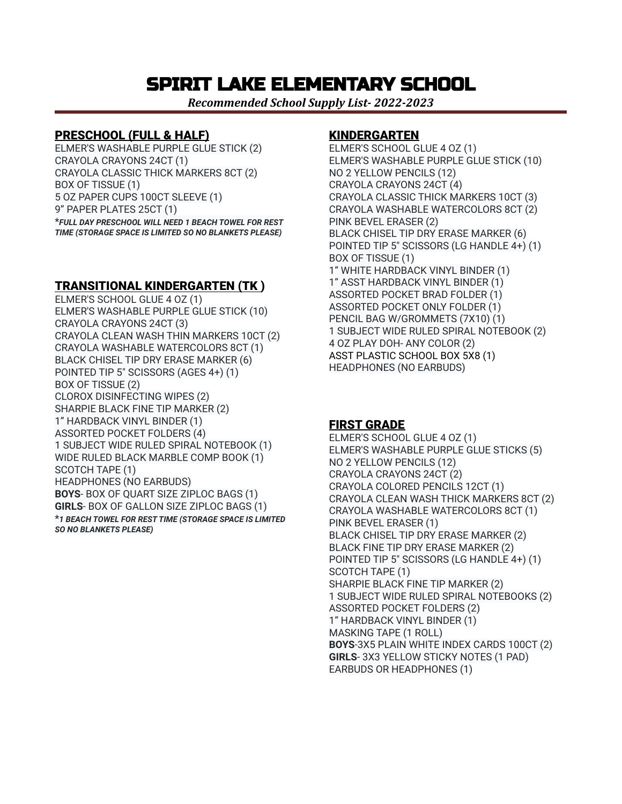## SPIRIT LAKE ELEMENTARY SCHOOL

*Recommended School Supply List- 2022-2023*

#### PRESCHOOL (FULL & HALF)

ELMER'S WASHABLE PURPLE GLUE STICK (2) CRAYOLA CRAYONS 24CT (1) CRAYOLA CLASSIC THICK MARKERS 8CT (2) BOX OF TISSUE (1) 5 OZ PAPER CUPS 100CT SLEEVE (1) 9" PAPER PLATES 25CT (1) \**FULL DAY PRESCHOOL WILL NEED 1 BEACH TOWEL FOR REST TIME (STORAGE SPACE IS LIMITED SO NO BLANKETS PLEASE)*

## TRANSITIONAL KINDERGARTEN (TK )

ELMER'S SCHOOL GLUE 4 OZ (1) ELMER'S WASHABLE PURPLE GLUE STICK (10) CRAYOLA CRAYONS 24CT (3) CRAYOLA CLEAN WASH THIN MARKERS 10CT (2) CRAYOLA WASHABLE WATERCOLORS 8CT (1) BLACK CHISEL TIP DRY ERASE MARKER (6) POINTED TIP 5" SCISSORS (AGES 4+) (1) BOX OF TISSUE (2) CLOROX DISINFECTING WIPES (2) SHARPIE BLACK FINE TIP MARKER (2) 1" HARDBACK VINYL BINDER (1) ASSORTED POCKET FOLDERS (4) 1 SUBJECT WIDE RULED SPIRAL NOTEBOOK (1) WIDE RULED BLACK MARBLE COMP BOOK (1) SCOTCH TAPE (1) HEADPHONES (NO EARBUDS) **BOYS**- BOX OF QUART SIZE ZIPLOC BAGS (1) **GIRLS**- BOX OF GALLON SIZE ZIPLOC BAGS (1) \**1 BEACH TOWEL FOR REST TIME (STORAGE SPACE IS LIMITED SO NO BLANKETS PLEASE)*

#### KINDERGARTEN

ELMER'S SCHOOL GLUE 4 OZ (1) ELMER'S WASHABLE PURPLE GLUE STICK (10) NO 2 YELLOW PENCILS (12) CRAYOLA CRAYONS 24CT (4) CRAYOLA CLASSIC THICK MARKERS 10CT (3) CRAYOLA WASHABLE WATERCOLORS 8CT (2) PINK BEVEL ERASER (2) BLACK CHISEL TIP DRY ERASE MARKER (6) POINTED TIP 5" SCISSORS (LG HANDLE 4+) (1) BOX OF TISSUE (1) 1" WHITE HARDBACK VINYL BINDER (1) 1" ASST HARDBACK VINYL BINDER (1) ASSORTED POCKET BRAD FOLDER (1) ASSORTED POCKET ONLY FOLDER (1) PENCIL BAG W/GROMMETS (7X10) (1) 1 SUBJECT WIDE RULED SPIRAL NOTEBOOK (2) 4 OZ PLAY DOH- ANY COLOR (2) ASST PLASTIC SCHOOL BOX 5X8 (1) HEADPHONES (NO EARBUDS)

## FIRST GRADE

ELMER'S SCHOOL GLUE 4 OZ (1) ELMER'S WASHABLE PURPLE GLUE STICKS (5) NO 2 YELLOW PENCILS (12) CRAYOLA CRAYONS 24CT (2) CRAYOLA COLORED PENCILS 12CT (1) CRAYOLA CLEAN WASH THICK MARKERS 8CT (2) CRAYOLA WASHABLE WATERCOLORS 8CT (1) PINK BEVEL ERASER (1) BLACK CHISEL TIP DRY ERASE MARKER (2) BLACK FINE TIP DRY ERASE MARKER (2) POINTED TIP 5" SCISSORS (LG HANDLE 4+) (1) SCOTCH TAPE (1) SHARPIE BLACK FINE TIP MARKER (2) 1 SUBJECT WIDE RULED SPIRAL NOTEBOOKS (2) ASSORTED POCKET FOLDERS (2) 1" HARDBACK VINYL BINDER (1) MASKING TAPE (1 ROLL) **BOYS**-3X5 PLAIN WHITE INDEX CARDS 100CT (2) **GIRLS**- 3X3 YELLOW STICKY NOTES (1 PAD) EARBUDS OR HEADPHONES (1)